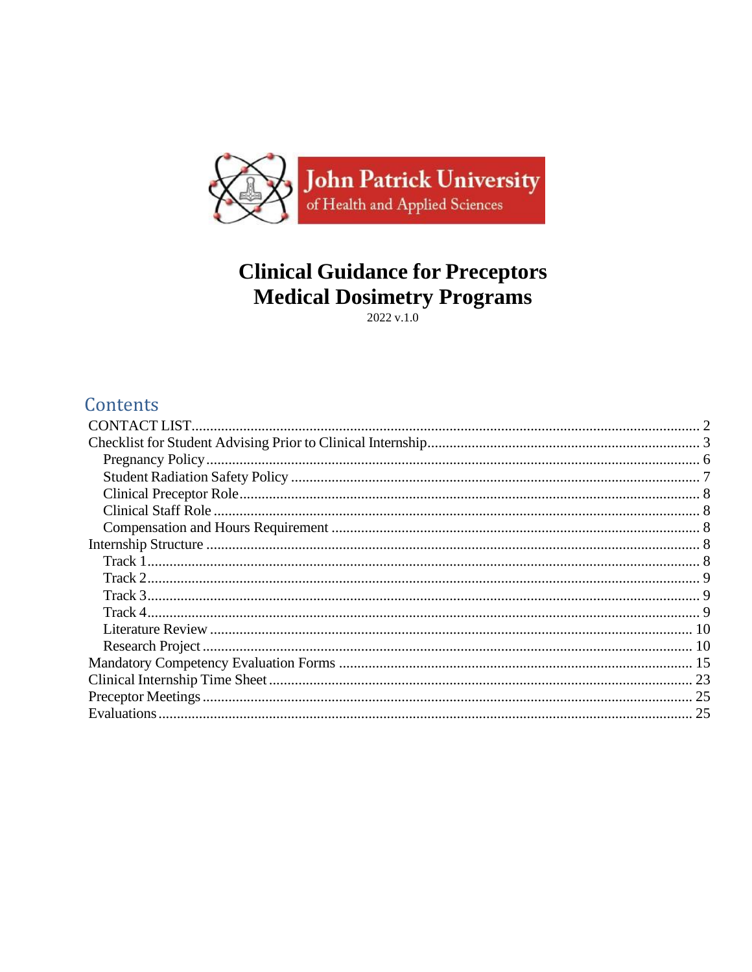

# **Clinical Guidance for Preceptors Medical Dosimetry Programs**

 $2022$  v.1.0

# Contents

<span id="page-0-0"></span>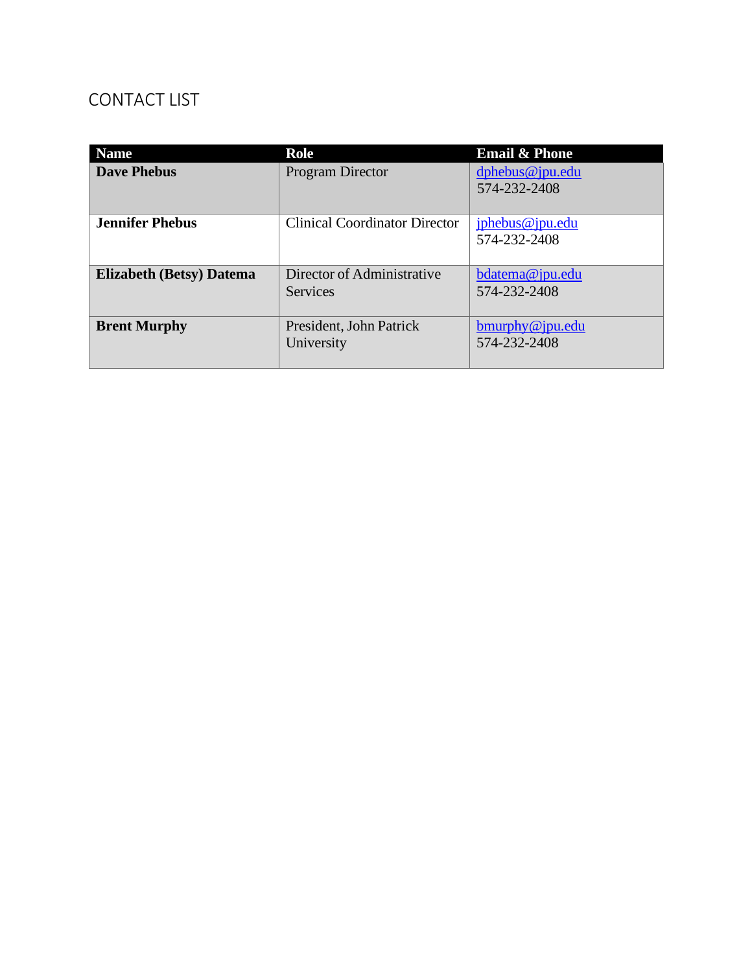# CONTACT LIST

| <b>Name</b>                     | <b>Email &amp; Phone</b><br><b>Role</b>       |                                    |  |  |
|---------------------------------|-----------------------------------------------|------------------------------------|--|--|
| <b>Dave Phebus</b>              | <b>Program Director</b>                       | $d$ phebus@jpu.edu<br>574-232-2408 |  |  |
| <b>Jennifer Phebus</b>          | <b>Clinical Coordinator Director</b>          | jphebus@jpu.edu<br>574-232-2408    |  |  |
| <b>Elizabeth (Betsy)</b> Datema | Director of Administrative<br><b>Services</b> | $b$ datema@jpu.edu<br>574-232-2408 |  |  |
| <b>Brent Murphy</b>             | President, John Patrick<br>University         | bmurphy@jpu.edu<br>574-232-2408    |  |  |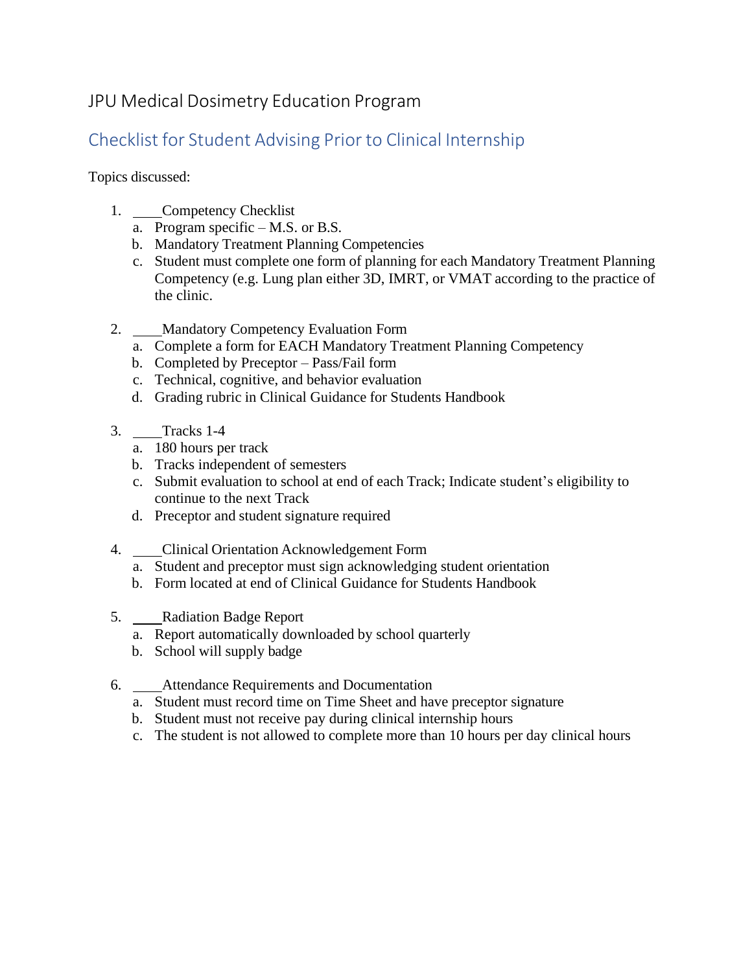# JPU Medical Dosimetry Education Program

# <span id="page-2-0"></span>Checklist for Student Advising Prior to Clinical Internship

Topics discussed:

- 1. Competency Checklist
	- a. Program specific M.S. or B.S.
	- b. Mandatory Treatment Planning Competencies
	- c. Student must complete one form of planning for each Mandatory Treatment Planning Competency (e.g. Lung plan either 3D, IMRT, or VMAT according to the practice of the clinic.
- 2. Mandatory Competency Evaluation Form
	- a. Complete a form for EACH Mandatory Treatment Planning Competency
	- b. Completed by Preceptor Pass/Fail form
	- c. Technical, cognitive, and behavior evaluation
	- d. Grading rubric in Clinical Guidance for Students Handbook
- 3. Tracks 1-4
	- a. 180 hours per track
	- b. Tracks independent of semesters
	- c. Submit evaluation to school at end of each Track; Indicate student's eligibility to continue to the next Track
	- d. Preceptor and student signature required
- 4. Clinical Orientation Acknowledgement Form
	- a. Student and preceptor must sign acknowledging student orientation
	- b. Form located at end of Clinical Guidance for Students Handbook
- 5. Radiation Badge Report
	- a. Report automatically downloaded by school quarterly
	- b. School will supply badge
- 6. Attendance Requirements and Documentation
	- a. Student must record time on Time Sheet and have preceptor signature
	- b. Student must not receive pay during clinical internship hours
	- c. The student is not allowed to complete more than 10 hours per day clinical hours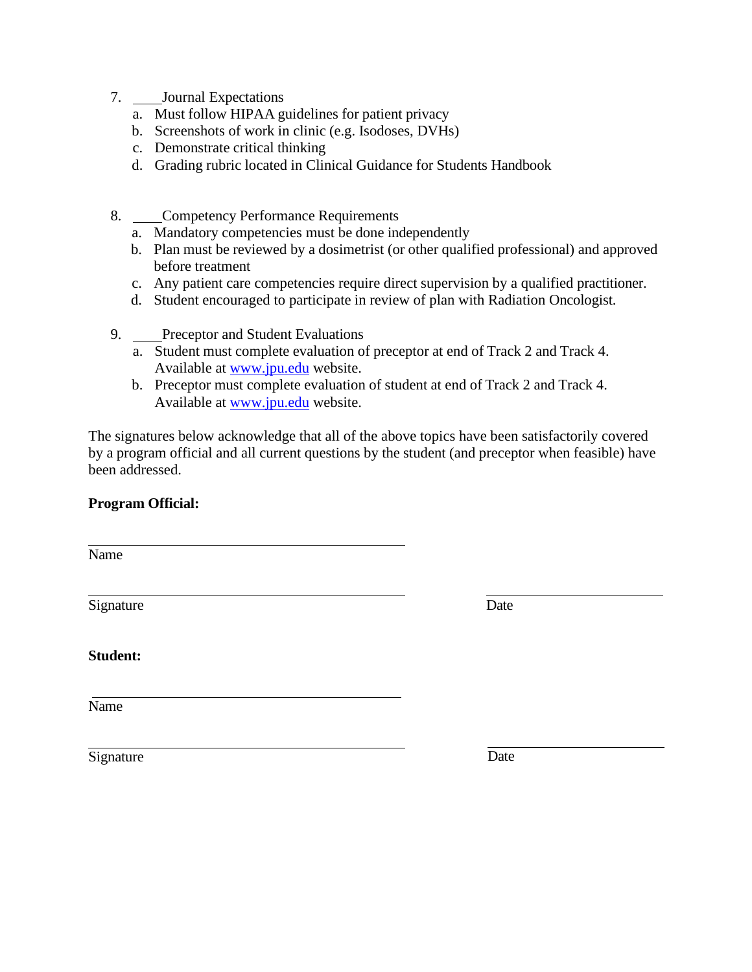- 7. Journal Expectations
	- a. Must follow HIPAA guidelines for patient privacy
	- b. Screenshots of work in clinic (e.g. Isodoses, DVHs)
	- c. Demonstrate critical thinking
	- d. Grading rubric located in Clinical Guidance for Students Handbook
- 8. Competency Performance Requirements
	- a. Mandatory competencies must be done independently
	- b. Plan must be reviewed by a dosimetrist (or other qualified professional) and approved before treatment
	- c. Any patient care competencies require direct supervision by a qualified practitioner.
	- d. Student encouraged to participate in review of plan with Radiation Oncologist.
- 9. Preceptor and Student Evaluations
	- a. Student must complete evaluation of preceptor at end of Track 2 and Track 4. Available at [www.jpu.edu](http://www.jpu.edu/) website.
	- b. Preceptor must complete evaluation of student at end of Track 2 and Track 4. Available at [www.jpu.edu](http://www.jpu.edu/) website.

The signatures below acknowledge that all of the above topics have been satisfactorily covered by a program official and all current questions by the student (and preceptor when feasible) have been addressed.

### **Program Official:**

Name

Signature Date

**Student:**

Name

Signature

| ۰,<br>I<br>ł<br>۰. |
|--------------------|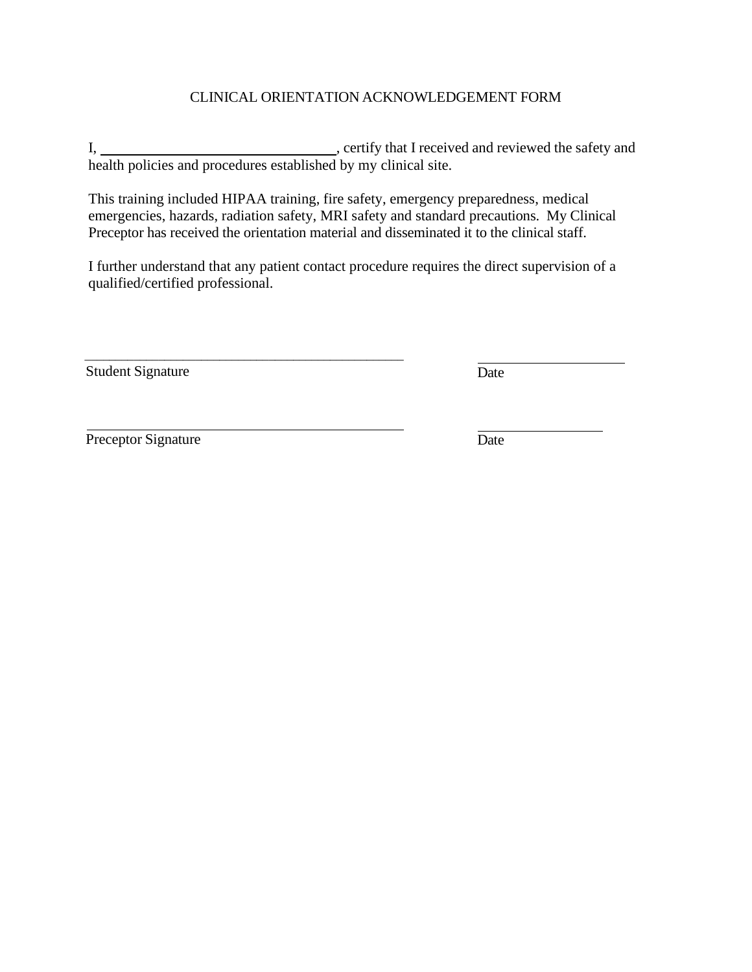### CLINICAL ORIENTATION ACKNOWLEDGEMENT FORM

I, , certify that I received and reviewed the safety and health policies and procedures established by my clinical site.

This training included HIPAA training, fire safety, emergency preparedness, medical emergencies, hazards, radiation safety, MRI safety and standard precautions. My Clinical Preceptor has received the orientation material and disseminated it to the clinical staff.

I further understand that any patient contact procedure requires the direct supervision of a qualified/certified professional.

Student Signature Date

\_\_\_\_\_\_\_\_\_\_\_\_\_\_\_\_\_\_\_\_\_\_\_\_\_\_\_\_\_\_\_\_\_\_\_\_\_\_\_\_\_\_\_\_\_\_\_\_\_\_\_\_

Preceptor Signature Date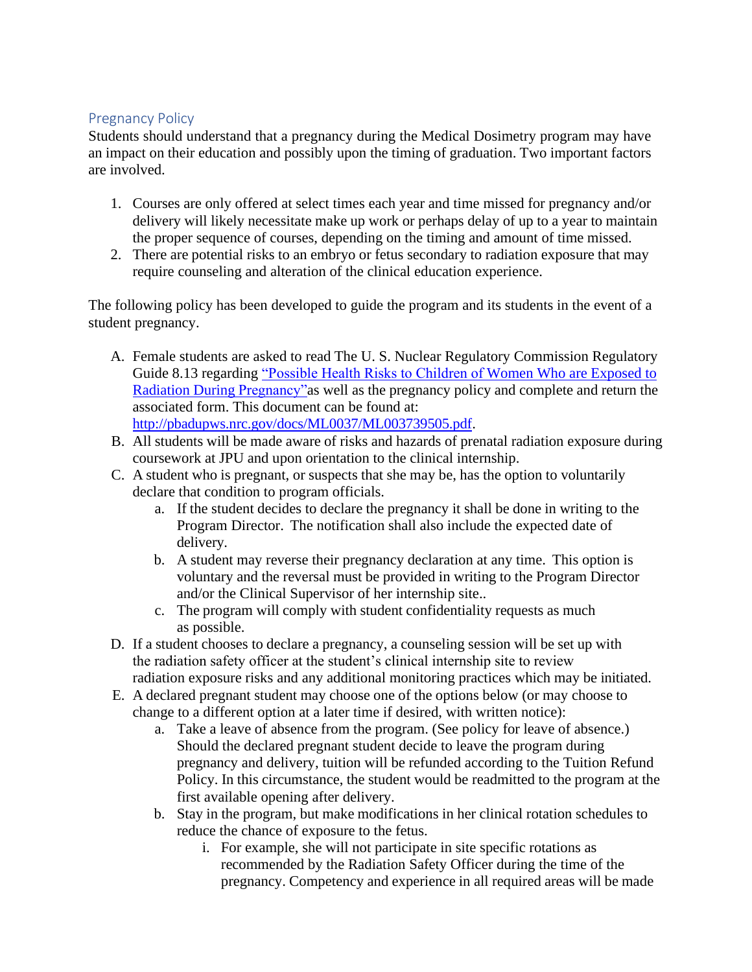### <span id="page-5-0"></span>Pregnancy Policy

Students should understand that a pregnancy during the Medical Dosimetry program may have an impact on their education and possibly upon the timing of graduation. Two important factors are involved.

- 1. Courses are only offered at select times each year and time missed for pregnancy and/or delivery will likely necessitate make up work or perhaps delay of up to a year to maintain the proper sequence of courses, depending on the timing and amount of time missed.
- 2. There are potential risks to an embryo or fetus secondary to radiation exposure that may require counseling and alteration of the clinical education experience.

The following policy has been developed to guide the program and its students in the event of a student pregnancy.

- A. Female students are asked to read The U. S. Nuclear Regulatory Commission Regulatory Guide 8.13 regarding ["Possible Health Risks to Children of](http://pbadupws.nrc.gov/docs/ML0037/ML003739505.pdf) Women Who are Exposed to Radiation During [Pregnancy"a](http://pbadupws.nrc.gov/docs/ML0037/ML003739505.pdf)s well as the pregnancy policy and complete and return the associated form. This document can be found at: [http://pbadupws.nrc.gov/docs/ML0037/ML003739505.pdf.](http://pbadupws.nrc.gov/docs/ML0037/ML003739505.pdf)
- B. All students will be made aware of risks and hazards of prenatal radiation exposure during coursework at JPU and upon orientation to the clinical internship.
- C. A student who is pregnant, or suspects that she may be, has the option to voluntarily declare that condition to program officials.
	- a. If the student decides to declare the pregnancy it shall be done in writing to the Program Director. The notification shall also include the expected date of delivery.
	- b. A student may reverse their pregnancy declaration at any time. This option is voluntary and the reversal must be provided in writing to the Program Director and/or the Clinical Supervisor of her internship site..
	- c. The program will comply with student confidentiality requests as much as possible.
- D. If a student chooses to declare a pregnancy, a counseling session will be set up with the radiation safety officer at the student's clinical internship site to review radiation exposure risks and any additional monitoring practices which may be initiated.
- E. A declared pregnant student may choose one of the options below (or may choose to change to a different option at a later time if desired, with written notice):
	- a. Take a leave of absence from the program. (See policy for leave of absence.) Should the declared pregnant student decide to leave the program during pregnancy and delivery, tuition will be refunded according to the Tuition Refund Policy. In this circumstance, the student would be readmitted to the program at the first available opening after delivery.
	- b. Stay in the program, but make modifications in her clinical rotation schedules to reduce the chance of exposure to the fetus.
		- i. For example, she will not participate in site specific rotations as recommended by the Radiation Safety Officer during the time of the pregnancy. Competency and experience in all required areas will be made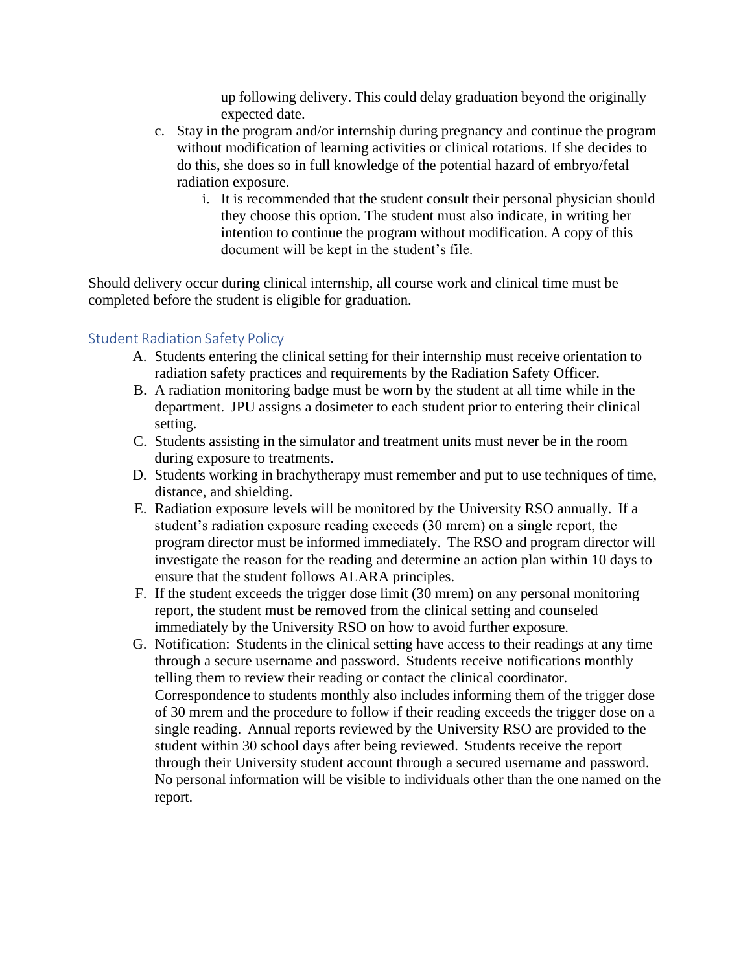up following delivery. This could delay graduation beyond the originally expected date.

- c. Stay in the program and/or internship during pregnancy and continue the program without modification of learning activities or clinical rotations. If she decides to do this, she does so in full knowledge of the potential hazard of embryo/fetal radiation exposure.
	- i. It is recommended that the student consult their personal physician should they choose this option. The student must also indicate, in writing her intention to continue the program without modification. A copy of this document will be kept in the student's file.

Should delivery occur during clinical internship, all course work and clinical time must be completed before the student is eligible for graduation.

## <span id="page-6-0"></span>Student Radiation Safety Policy

- A. Students entering the clinical setting for their internship must receive orientation to radiation safety practices and requirements by the Radiation Safety Officer.
- B. A radiation monitoring badge must be worn by the student at all time while in the department. JPU assigns a dosimeter to each student prior to entering their clinical setting.
- C. Students assisting in the simulator and treatment units must never be in the room during exposure to treatments.
- D. Students working in brachytherapy must remember and put to use techniques of time, distance, and shielding.
- E. Radiation exposure levels will be monitored by the University RSO annually. If a student's radiation exposure reading exceeds (30 mrem) on a single report, the program director must be informed immediately. The RSO and program director will investigate the reason for the reading and determine an action plan within 10 days to ensure that the student follows ALARA principles.
- F. If the student exceeds the trigger dose limit (30 mrem) on any personal monitoring report, the student must be removed from the clinical setting and counseled immediately by the University RSO on how to avoid further exposure.
- G. Notification: Students in the clinical setting have access to their readings at any time through a secure username and password. Students receive notifications monthly telling them to review their reading or contact the clinical coordinator. Correspondence to students monthly also includes informing them of the trigger dose of 30 mrem and the procedure to follow if their reading exceeds the trigger dose on a single reading. Annual reports reviewed by the University RSO are provided to the student within 30 school days after being reviewed. Students receive the report through their University student account through a secured username and password. No personal information will be visible to individuals other than the one named on the report.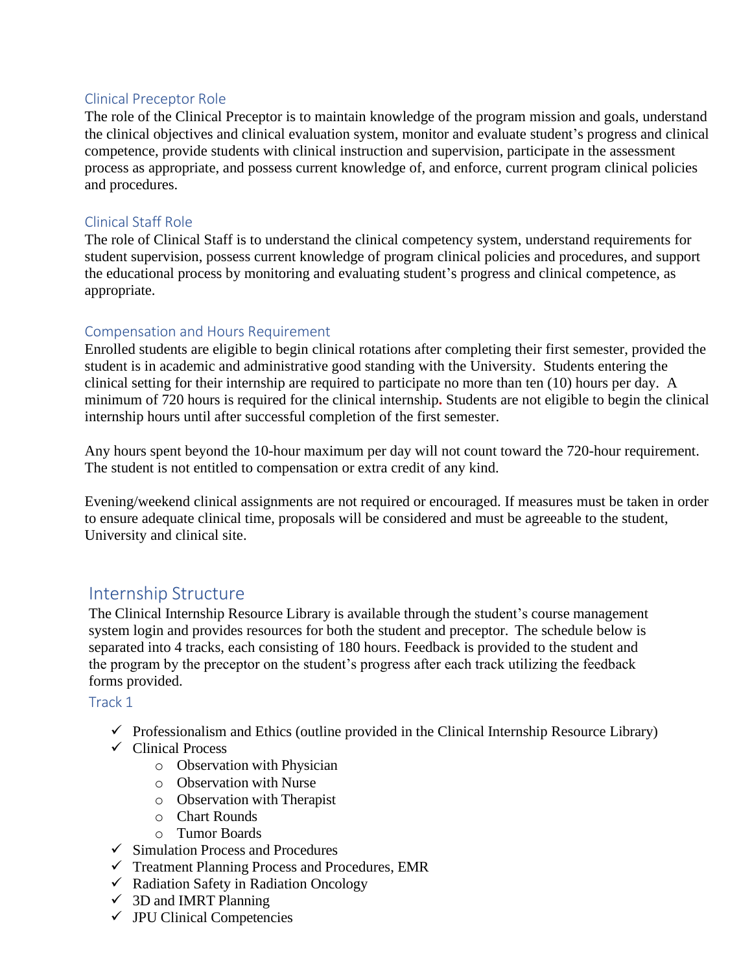### <span id="page-7-0"></span>Clinical Preceptor Role

The role of the Clinical Preceptor is to maintain knowledge of the program mission and goals, understand the clinical objectives and clinical evaluation system, monitor and evaluate student's progress and clinical competence, provide students with clinical instruction and supervision, participate in the assessment process as appropriate, and possess current knowledge of, and enforce, current program clinical policies and procedures.

#### <span id="page-7-1"></span>Clinical Staff Role

The role of Clinical Staff is to understand the clinical competency system, understand requirements for student supervision, possess current knowledge of program clinical policies and procedures, and support the educational process by monitoring and evaluating student's progress and clinical competence, as appropriate.

### <span id="page-7-2"></span>Compensation and Hours Requirement

Enrolled students are eligible to begin clinical rotations after completing their first semester, provided the student is in academic and administrative good standing with the University. Students entering the clinical setting for their internship are required to participate no more than ten (10) hours per day. A minimum of 720 hours is required for the clinical internship**.** Students are not eligible to begin the clinical internship hours until after successful completion of the first semester.

Any hours spent beyond the 10-hour maximum per day will not count toward the 720-hour requirement. The student is not entitled to compensation or extra credit of any kind.

Evening/weekend clinical assignments are not required or encouraged. If measures must be taken in order to ensure adequate clinical time, proposals will be considered and must be agreeable to the student, University and clinical site.

## <span id="page-7-3"></span>Internship Structure

The Clinical Internship Resource Library is available through the student's course management system login and provides resources for both the student and preceptor. The schedule below is separated into 4 tracks, each consisting of 180 hours. Feedback is provided to the student and the program by the preceptor on the student's progress after each track utilizing the feedback forms provided.

#### <span id="page-7-4"></span>Track 1

- $\checkmark$  Professionalism and Ethics (outline provided in the Clinical Internship Resource Library)
- $\checkmark$  Clinical Process
	- o Observation with Physician
	- o Observation with Nurse
	- o Observation with Therapist
	- o Chart Rounds
	- o Tumor Boards
- $\checkmark$  Simulation Process and Procedures
- $\checkmark$  Treatment Planning Process and Procedures, EMR
- ✓ Radiation Safety in Radiation Oncology
- $\checkmark$  3D and IMRT Planning
- $\checkmark$  JPU Clinical Competencies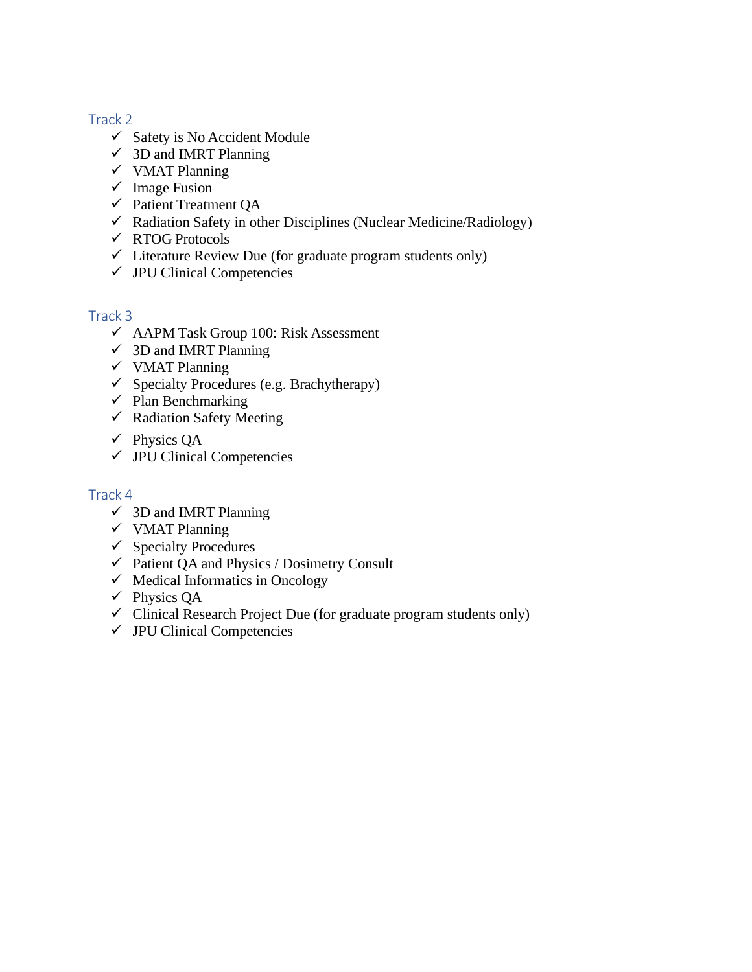## <span id="page-8-0"></span>Track 2

- $\checkmark$  Safety is No Accident Module
- $\checkmark$  3D and IMRT Planning
- ✓ VMAT Planning
- $\checkmark$  Image Fusion
- ✓ Patient Treatment QA
- $\checkmark$  Radiation Safety in other Disciplines (Nuclear Medicine/Radiology)
- ✓ RTOG Protocols
- $\checkmark$  Literature Review Due (for graduate program students only)
- $\checkmark$  JPU Clinical Competencies

## <span id="page-8-1"></span>Track 3

- ✓ AAPM Task Group 100: Risk Assessment
- $\checkmark$  3D and IMRT Planning
- ✓ VMAT Planning
- $\checkmark$  Specialty Procedures (e.g. Brachytherapy)
- $\checkmark$  Plan Benchmarking
- ✓ Radiation Safety Meeting
- $\checkmark$  Physics OA
- $\checkmark$  JPU Clinical Competencies

## <span id="page-8-2"></span>Track 4

- $\checkmark$  3D and IMRT Planning
- ✓ VMAT Planning
- $\checkmark$  Specialty Procedures
- $\checkmark$  Patient QA and Physics / Dosimetry Consult
- $\checkmark$  Medical Informatics in Oncology
- ✓ Physics QA
- $\checkmark$  Clinical Research Project Due (for graduate program students only)
- $\checkmark$  JPU Clinical Competencies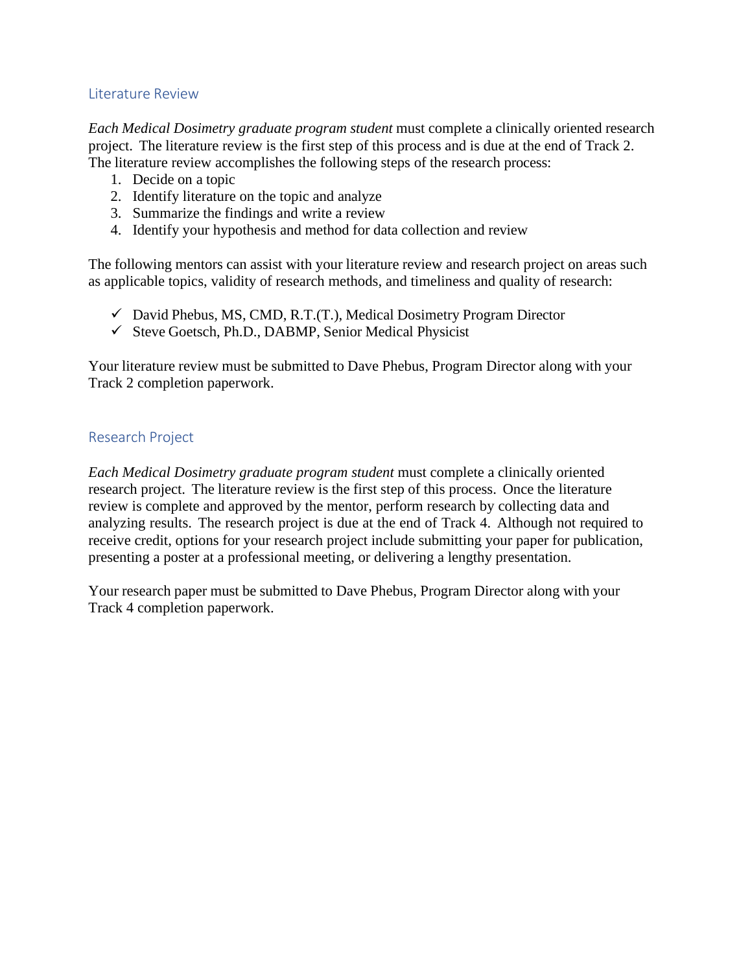#### <span id="page-9-0"></span>Literature Review

*Each Medical Dosimetry graduate program student* must complete a clinically oriented research project. The literature review is the first step of this process and is due at the end of Track 2. The literature review accomplishes the following steps of the research process:

- 1. Decide on a topic
- 2. Identify literature on the topic and analyze
- 3. Summarize the findings and write a review
- 4. Identify your hypothesis and method for data collection and review

The following mentors can assist with your literature review and research project on areas such as applicable topics, validity of research methods, and timeliness and quality of research:

- $\checkmark$  David Phebus, MS, CMD, R.T.(T.), Medical Dosimetry Program Director
- ✓ Steve Goetsch, Ph.D., DABMP, Senior Medical Physicist

Your literature review must be submitted to Dave Phebus, Program Director along with your Track 2 completion paperwork.

#### <span id="page-9-1"></span>Research Project

*Each Medical Dosimetry graduate program student* must complete a clinically oriented research project. The literature review is the first step of this process. Once the literature review is complete and approved by the mentor, perform research by collecting data and analyzing results. The research project is due at the end of Track 4. Although not required to receive credit, options for your research project include submitting your paper for publication, presenting a poster at a professional meeting, or delivering a lengthy presentation.

Your research paper must be submitted to Dave Phebus, Program Director along with your Track 4 completion paperwork.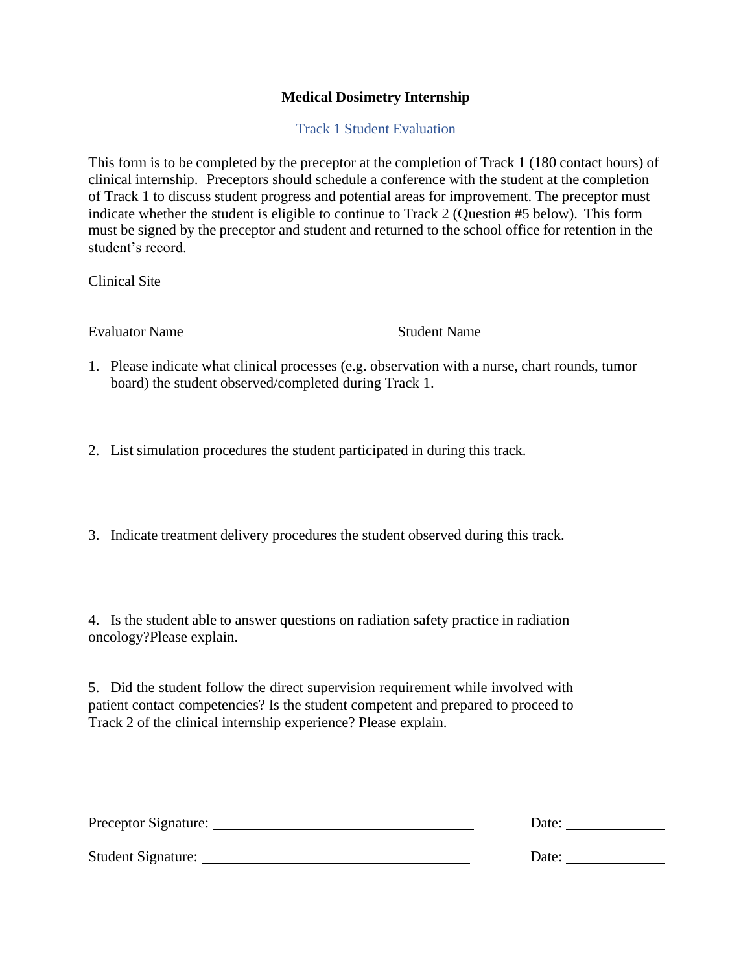### **Medical Dosimetry Internship**

Track 1 Student Evaluation

This form is to be completed by the preceptor at the completion of Track 1 (180 contact hours) of clinical internship. Preceptors should schedule a conference with the student at the completion of Track 1 to discuss student progress and potential areas for improvement. The preceptor must indicate whether the student is eligible to continue to Track 2 (Question #5 below). This form must be signed by the preceptor and student and returned to the school office for retention in the student's record.

Clinical Site

Evaluator Name Student Name

- 1. Please indicate what clinical processes (e.g. observation with a nurse, chart rounds, tumor board) the student observed/completed during Track 1.
- 2. List simulation procedures the student participated in during this track.
- 3. Indicate treatment delivery procedures the student observed during this track.

4. Is the student able to answer questions on radiation safety practice in radiation oncology?Please explain.

5. Did the student follow the direct supervision requirement while involved with patient contact competencies? Is the student competent and prepared to proceed to Track 2 of the clinical internship experience? Please explain.

| Preceptor Signature: | Date: |  |
|----------------------|-------|--|
|                      |       |  |
| Student Signature:   | Date: |  |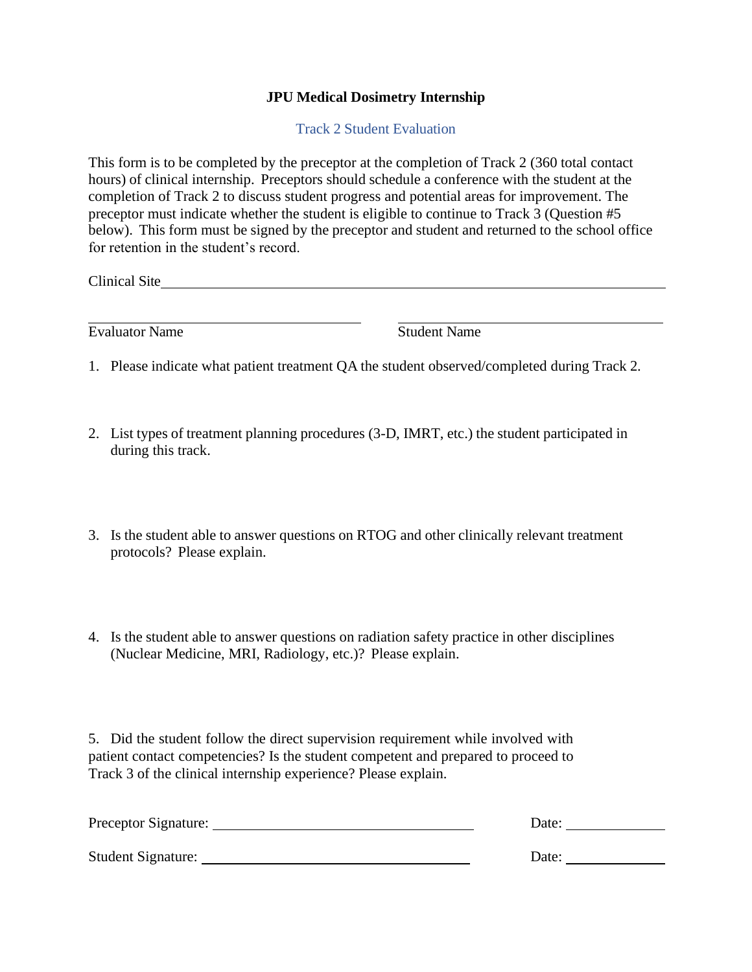### **JPU Medical Dosimetry Internship**

Track 2 Student Evaluation

This form is to be completed by the preceptor at the completion of Track 2 (360 total contact hours) of clinical internship. Preceptors should schedule a conference with the student at the completion of Track 2 to discuss student progress and potential areas for improvement. The preceptor must indicate whether the student is eligible to continue to Track 3 (Question #5 below). This form must be signed by the preceptor and student and returned to the school office for retention in the student's record.

Clinical Site

|  | <b>Evaluator Name</b> |  |
|--|-----------------------|--|
|  |                       |  |

Student Name

- 1. Please indicate what patient treatment QA the student observed/completed during Track 2.
- 2. List types of treatment planning procedures (3-D, IMRT, etc.) the student participated in during this track.
- 3. Is the student able to answer questions on RTOG and other clinically relevant treatment protocols? Please explain.
- 4. Is the student able to answer questions on radiation safety practice in other disciplines (Nuclear Medicine, MRI, Radiology, etc.)? Please explain.

5. Did the student follow the direct supervision requirement while involved with patient contact competencies? Is the student competent and prepared to proceed to Track 3 of the clinical internship experience? Please explain.

| Preceptor Signature: | Date: |
|----------------------|-------|
| Student Signature:   | Date: |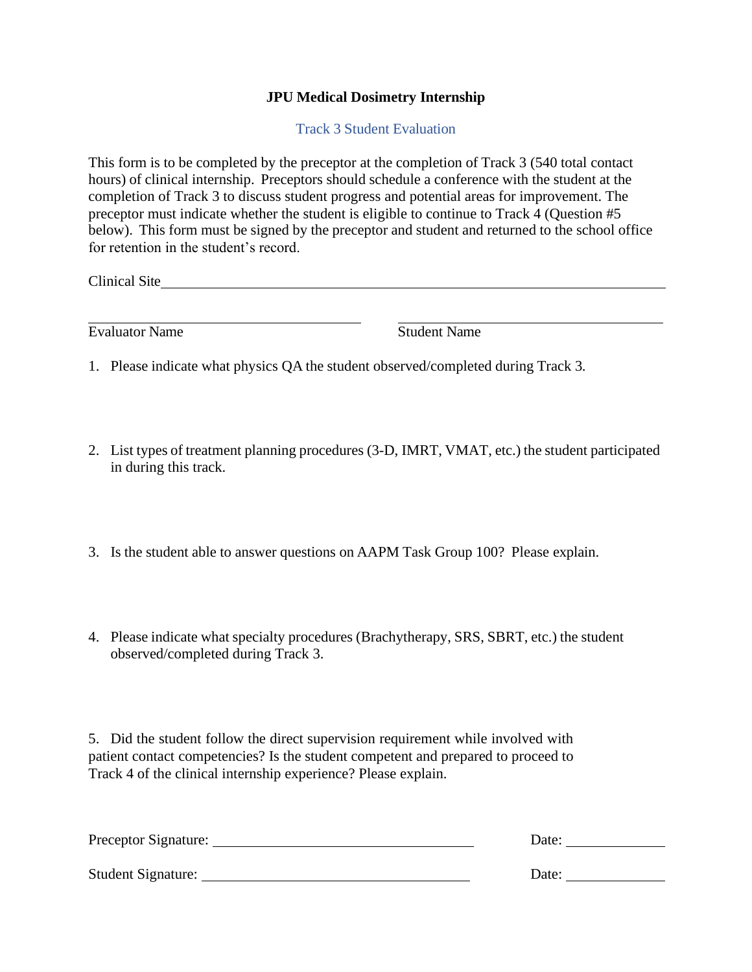### **JPU Medical Dosimetry Internship**

Track 3 Student Evaluation

This form is to be completed by the preceptor at the completion of Track 3 (540 total contact hours) of clinical internship. Preceptors should schedule a conference with the student at the completion of Track 3 to discuss student progress and potential areas for improvement. The preceptor must indicate whether the student is eligible to continue to Track 4 (Question #5 below). This form must be signed by the preceptor and student and returned to the school office for retention in the student's record.

Clinical Site

| <b>Evaluator Name</b> |  |
|-----------------------|--|
|-----------------------|--|

**Student Name** 

- 1. Please indicate what physics QA the student observed/completed during Track 3.
- 2. List types of treatment planning procedures (3-D, IMRT, VMAT, etc.) the student participated in during this track.
- 3. Is the student able to answer questions on AAPM Task Group 100? Please explain.
- 4. Please indicate what specialty procedures (Brachytherapy, SRS, SBRT, etc.) the student observed/completed during Track 3.

5. Did the student follow the direct supervision requirement while involved with patient contact competencies? Is the student competent and prepared to proceed to Track 4 of the clinical internship experience? Please explain.

| Preceptor Signature:      | Date: |
|---------------------------|-------|
| <b>Student Signature:</b> | Date: |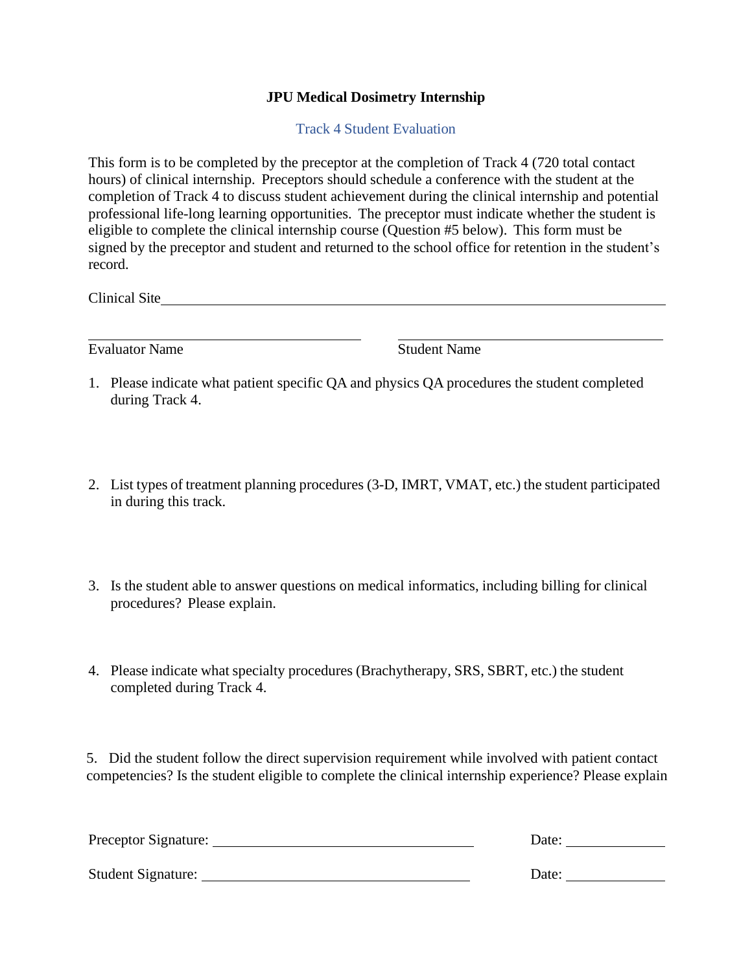### **JPU Medical Dosimetry Internship**

Track 4 Student Evaluation

This form is to be completed by the preceptor at the completion of Track 4 (720 total contact hours) of clinical internship. Preceptors should schedule a conference with the student at the completion of Track 4 to discuss student achievement during the clinical internship and potential professional life-long learning opportunities. The preceptor must indicate whether the student is eligible to complete the clinical internship course (Question #5 below). This form must be signed by the preceptor and student and returned to the school office for retention in the student's record.

Clinical Site **Clinical Site** 

Evaluator Name Student Name

- 1. Please indicate what patient specific QA and physics QA procedures the student completed during Track 4.
- 2. List types of treatment planning procedures (3-D, IMRT, VMAT, etc.) the student participated in during this track.
- 3. Is the student able to answer questions on medical informatics, including billing for clinical procedures? Please explain.
- 4. Please indicate what specialty procedures (Brachytherapy, SRS, SBRT, etc.) the student completed during Track 4.

5. Did the student follow the direct supervision requirement while involved with patient contact competencies? Is the student eligible to complete the clinical internship experience? Please explain

| Preceptor Signature:      | Date: |
|---------------------------|-------|
| <b>Student Signature:</b> | Date: |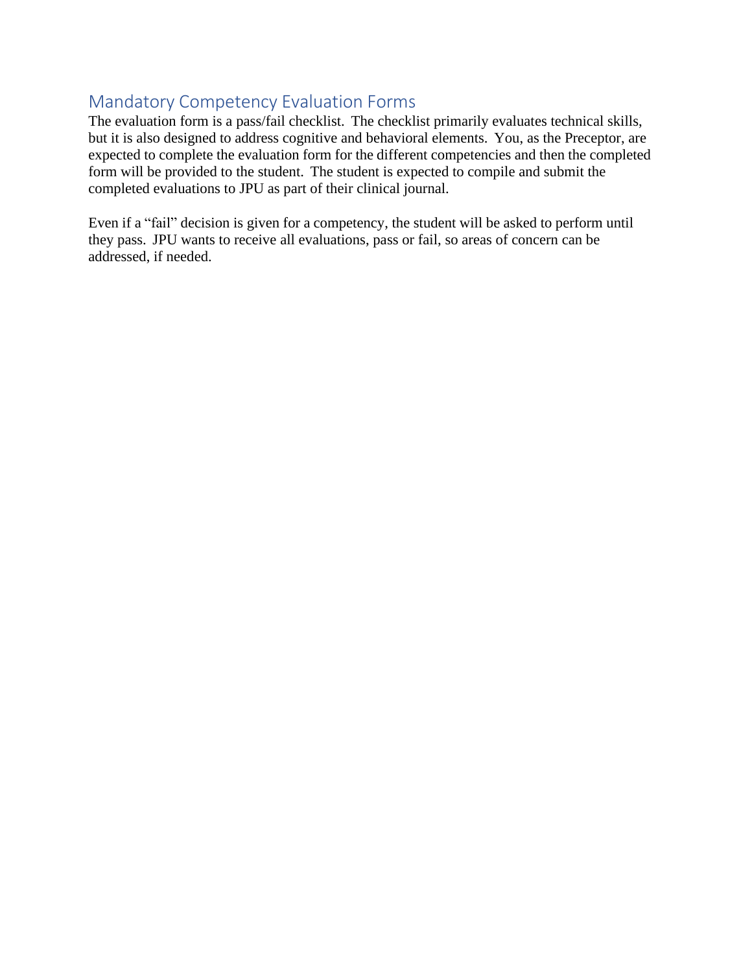# <span id="page-14-0"></span>Mandatory Competency Evaluation Forms

The evaluation form is a pass/fail checklist. The checklist primarily evaluates technical skills, but it is also designed to address cognitive and behavioral elements. You, as the Preceptor, are expected to complete the evaluation form for the different competencies and then the completed form will be provided to the student. The student is expected to compile and submit the completed evaluations to JPU as part of their clinical journal.

Even if a "fail" decision is given for a competency, the student will be asked to perform until they pass. JPU wants to receive all evaluations, pass or fail, so areas of concern can be addressed, if needed.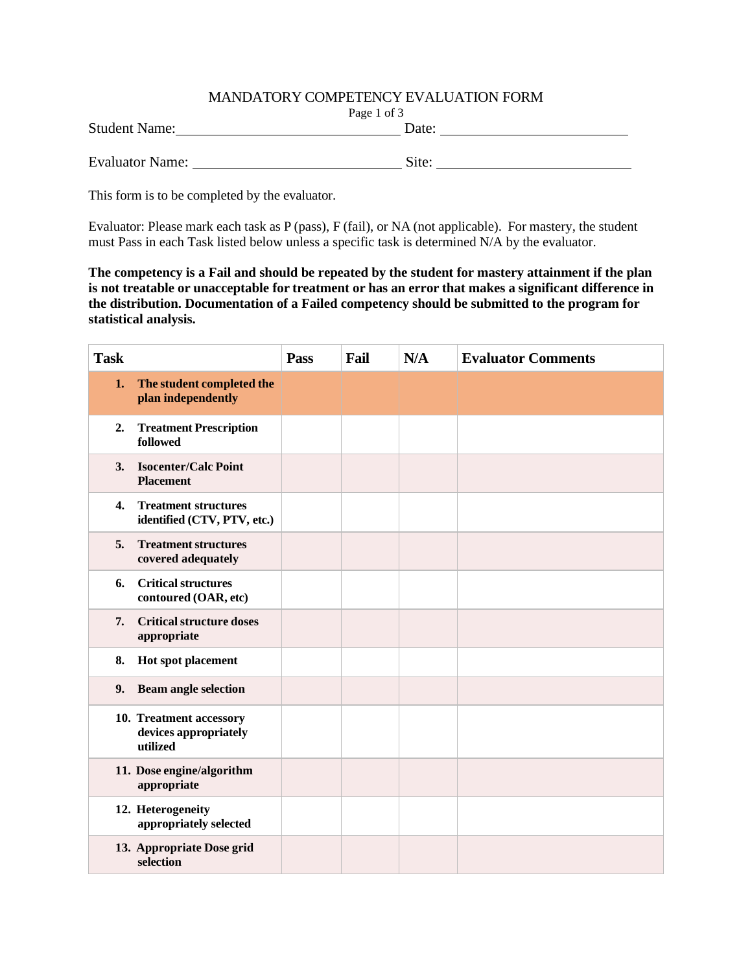#### MANDATORY COMPETENCY EVALUATION FORM

| Page 1 of 3 |
|-------------|
|-------------|

| <b>Student Name:</b>   | Date: |
|------------------------|-------|
| <b>Evaluator Name:</b> | Site: |

This form is to be completed by the evaluator.

Evaluator: Please mark each task as P (pass), F (fail), or NA (not applicable). For mastery, the student must Pass in each Task listed below unless a specific task is determined N/A by the evaluator.

**The competency is a Fail and should be repeated by the student for mastery attainment if the plan is not treatable or unacceptable for treatment or has an error that makes a significant difference in the distribution. Documentation of a Failed competency should be submitted to the program for statistical analysis.**

| <b>Task</b>  |                                                              | Pass | Fail | N/A | <b>Evaluator Comments</b> |
|--------------|--------------------------------------------------------------|------|------|-----|---------------------------|
| 1.           | The student completed the<br>plan independently              |      |      |     |                           |
| 2.           | <b>Treatment Prescription</b><br>followed                    |      |      |     |                           |
| 3.           | <b>Isocenter/Calc Point</b><br><b>Placement</b>              |      |      |     |                           |
| $\mathbf{4}$ | <b>Treatment structures</b><br>identified (CTV, PTV, etc.)   |      |      |     |                           |
| 5.           | <b>Treatment structures</b><br>covered adequately            |      |      |     |                           |
| 6.           | <b>Critical structures</b><br>contoured (OAR, etc)           |      |      |     |                           |
| 7.           | <b>Critical structure doses</b><br>appropriate               |      |      |     |                           |
| 8.           | Hot spot placement                                           |      |      |     |                           |
| 9.           | <b>Beam angle selection</b>                                  |      |      |     |                           |
|              | 10. Treatment accessory<br>devices appropriately<br>utilized |      |      |     |                           |
|              | 11. Dose engine/algorithm<br>appropriate                     |      |      |     |                           |
|              | 12. Heterogeneity<br>appropriately selected                  |      |      |     |                           |
|              | 13. Appropriate Dose grid<br>selection                       |      |      |     |                           |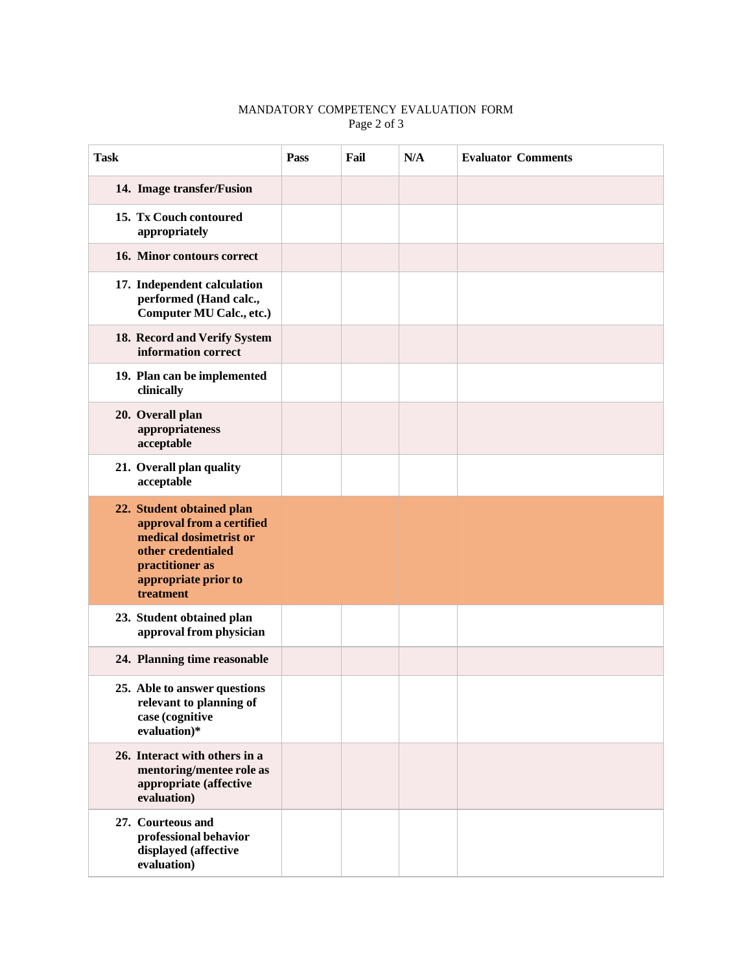#### MANDATORY COMPETENCY EVALUATION FORM Page 2 of 3

| <b>Task</b>                                                                                                                                                    | Pass | Fail | N/A | <b>Evaluator Comments</b> |
|----------------------------------------------------------------------------------------------------------------------------------------------------------------|------|------|-----|---------------------------|
| 14. Image transfer/Fusion                                                                                                                                      |      |      |     |                           |
| 15. Tx Couch contoured<br>appropriately                                                                                                                        |      |      |     |                           |
| 16. Minor contours correct                                                                                                                                     |      |      |     |                           |
| 17. Independent calculation<br>performed (Hand calc.,<br>Computer MU Calc., etc.)                                                                              |      |      |     |                           |
| 18. Record and Verify System<br>information correct                                                                                                            |      |      |     |                           |
| 19. Plan can be implemented<br>clinically                                                                                                                      |      |      |     |                           |
| 20. Overall plan<br>appropriateness<br>acceptable                                                                                                              |      |      |     |                           |
| 21. Overall plan quality<br>acceptable                                                                                                                         |      |      |     |                           |
| 22. Student obtained plan<br>approval from a certified<br>medical dosimetrist or<br>other credentialed<br>practitioner as<br>appropriate prior to<br>treatment |      |      |     |                           |
| 23. Student obtained plan<br>approval from physician                                                                                                           |      |      |     |                           |
| 24. Planning time reasonable                                                                                                                                   |      |      |     |                           |
| 25. Able to answer questions<br>relevant to planning of<br>case (cognitive<br>evaluation)*                                                                     |      |      |     |                           |
| 26. Interact with others in a<br>mentoring/mentee role as<br>appropriate (affective<br>evaluation)                                                             |      |      |     |                           |
| 27. Courteous and<br>professional behavior<br>displayed (affective<br>evaluation)                                                                              |      |      |     |                           |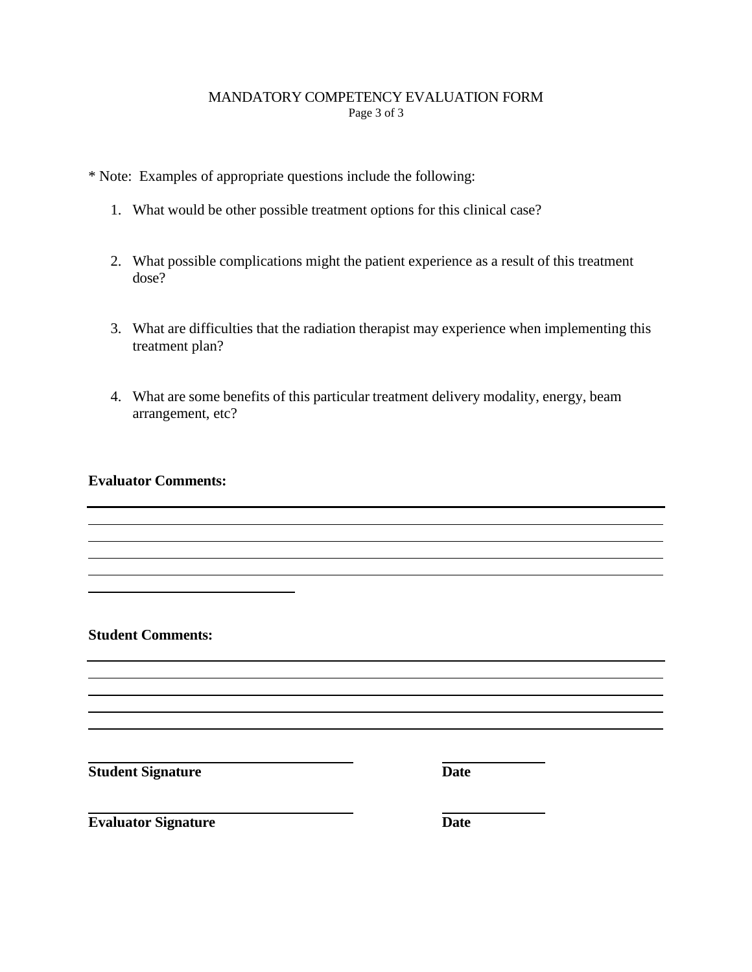#### MANDATORY COMPETENCY EVALUATION FORM Page 3 of 3

\* Note: Examples of appropriate questions include the following:

- 1. What would be other possible treatment options for this clinical case?
- 2. What possible complications might the patient experience as a result of this treatment dose?
- 3. What are difficulties that the radiation therapist may experience when implementing this treatment plan?
- 4. What are some benefits of this particular treatment delivery modality, energy, beam arrangement, etc?

#### **Evaluator Comments:**

**Student Signature Date** 

**Student Comments:**

**Evaluator Signature** 

| × |  |
|---|--|
|   |  |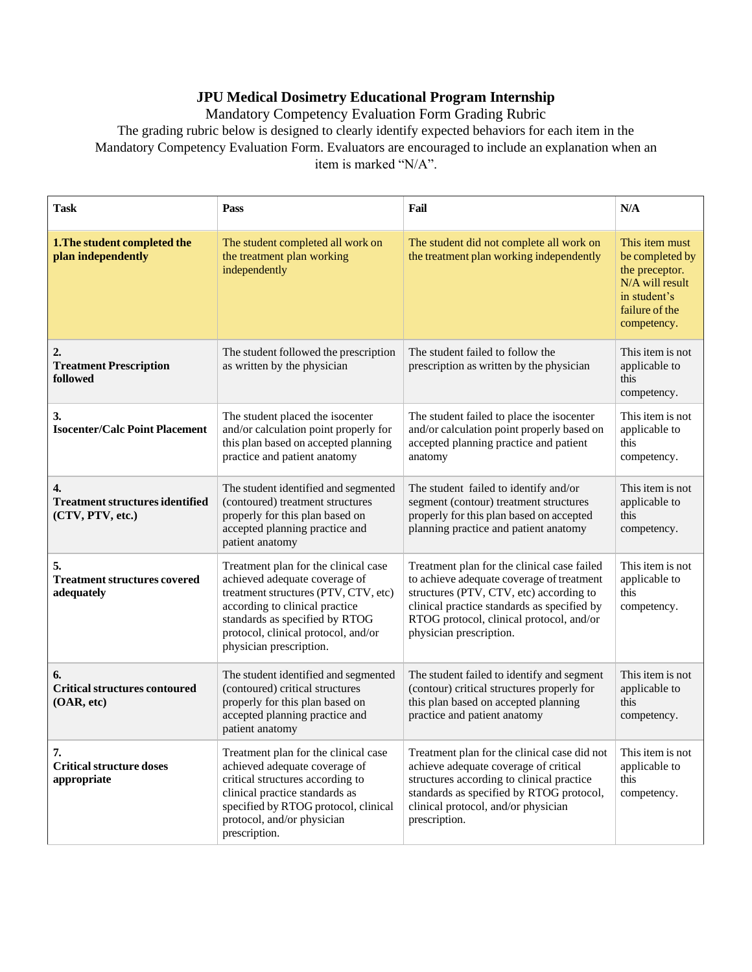## **JPU Medical Dosimetry Educational Program Internship**

Mandatory Competency Evaluation Form Grading Rubric The grading rubric below is designed to clearly identify expected behaviors for each item in the

Mandatory Competency Evaluation Form. Evaluators are encouraged to include an explanation when an item is marked "N/A".

| <b>Task</b>                                                                    | Pass                                                                                                                                                                                                                                                | Fail                                                                                                                                                                                                                                                      | N/A                                                                                                                     |
|--------------------------------------------------------------------------------|-----------------------------------------------------------------------------------------------------------------------------------------------------------------------------------------------------------------------------------------------------|-----------------------------------------------------------------------------------------------------------------------------------------------------------------------------------------------------------------------------------------------------------|-------------------------------------------------------------------------------------------------------------------------|
| 1. The student completed the<br>plan independently                             | The student completed all work on<br>the treatment plan working<br>independently                                                                                                                                                                    | The student did not complete all work on<br>the treatment plan working independently                                                                                                                                                                      | This item must<br>be completed by<br>the preceptor.<br>N/A will result<br>in student's<br>failure of the<br>competency. |
| 2.<br><b>Treatment Prescription</b><br>followed                                | The student followed the prescription<br>as written by the physician                                                                                                                                                                                | The student failed to follow the<br>prescription as written by the physician                                                                                                                                                                              | This item is not<br>applicable to<br>this<br>competency.                                                                |
| 3.<br><b>Isocenter/Calc Point Placement</b>                                    | The student placed the isocenter<br>and/or calculation point properly for<br>this plan based on accepted planning<br>practice and patient anatomy                                                                                                   | The student failed to place the isocenter<br>and/or calculation point properly based on<br>accepted planning practice and patient<br>anatomy                                                                                                              | This item is not<br>applicable to<br>this<br>competency.                                                                |
| $\overline{4}$ .<br><b>Treatment structures identified</b><br>(CTV, PTV, etc.) | The student identified and segmented<br>(contoured) treatment structures<br>properly for this plan based on<br>accepted planning practice and<br>patient anatomy                                                                                    | The student failed to identify and/or<br>segment (contour) treatment structures<br>properly for this plan based on accepted<br>planning practice and patient anatomy                                                                                      | This item is not<br>applicable to<br>this<br>competency.                                                                |
| 5.<br><b>Treatment structures covered</b><br>adequately                        | Treatment plan for the clinical case<br>achieved adequate coverage of<br>treatment structures (PTV, CTV, etc)<br>according to clinical practice<br>standards as specified by RTOG<br>protocol, clinical protocol, and/or<br>physician prescription. | Treatment plan for the clinical case failed<br>to achieve adequate coverage of treatment<br>structures (PTV, CTV, etc) according to<br>clinical practice standards as specified by<br>RTOG protocol, clinical protocol, and/or<br>physician prescription. | This item is not<br>applicable to<br>this<br>competency.                                                                |
| 6.<br><b>Critical structures contoured</b><br>(OAR, etc)                       | The student identified and segmented<br>(contoured) critical structures<br>properly for this plan based on<br>accepted planning practice and<br>patient anatomy                                                                                     | The student failed to identify and segment<br>(contour) critical structures properly for<br>this plan based on accepted planning<br>practice and patient anatomy                                                                                          | This item is not<br>applicable to<br>this<br>competency.                                                                |
| 7.<br><b>Critical structure doses</b><br>appropriate                           | Treatment plan for the clinical case<br>achieved adequate coverage of<br>critical structures according to<br>clinical practice standards as<br>specified by RTOG protocol, clinical<br>protocol, and/or physician<br>prescription.                  | Treatment plan for the clinical case did not<br>achieve adequate coverage of critical<br>structures according to clinical practice<br>standards as specified by RTOG protocol,<br>clinical protocol, and/or physician<br>prescription.                    | This item is not<br>applicable to<br>this<br>competency.                                                                |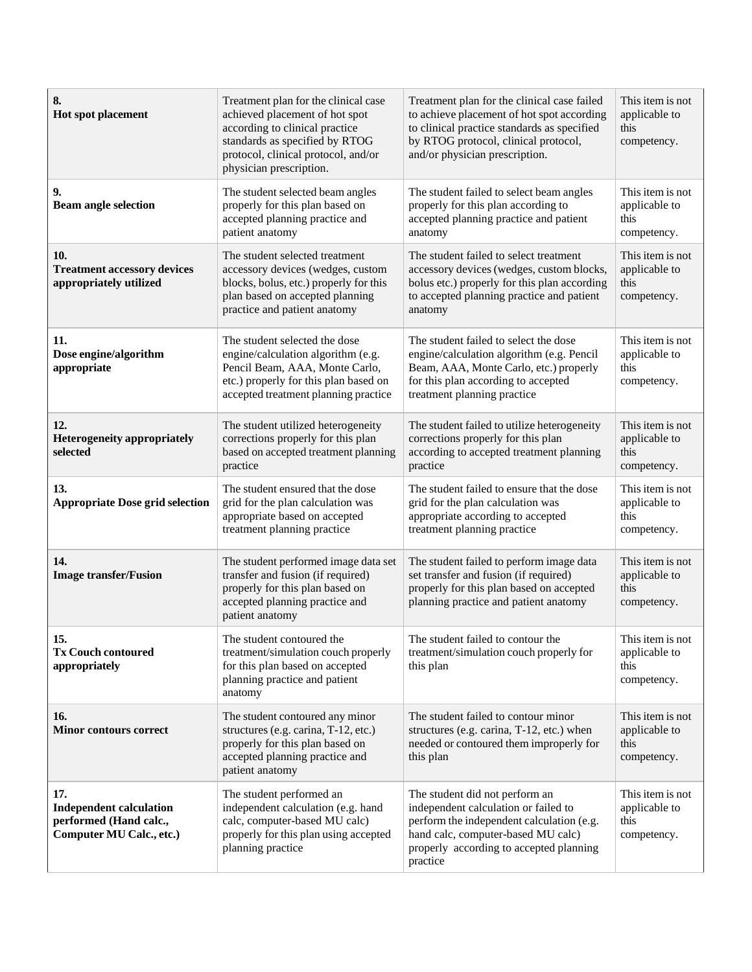| 8.<br>Hot spot placement                                                                    | Treatment plan for the clinical case<br>achieved placement of hot spot<br>according to clinical practice<br>standards as specified by RTOG<br>protocol, clinical protocol, and/or<br>physician prescription. | Treatment plan for the clinical case failed<br>to achieve placement of hot spot according<br>to clinical practice standards as specified<br>by RTOG protocol, clinical protocol,<br>and/or physician prescription. | This item is not<br>applicable to<br>this<br>competency. |
|---------------------------------------------------------------------------------------------|--------------------------------------------------------------------------------------------------------------------------------------------------------------------------------------------------------------|--------------------------------------------------------------------------------------------------------------------------------------------------------------------------------------------------------------------|----------------------------------------------------------|
| 9.<br><b>Beam angle selection</b>                                                           | The student selected beam angles<br>properly for this plan based on<br>accepted planning practice and<br>patient anatomy                                                                                     | The student failed to select beam angles<br>properly for this plan according to<br>accepted planning practice and patient<br>anatomy                                                                               | This item is not<br>applicable to<br>this<br>competency. |
| 10.<br><b>Treatment accessory devices</b><br>appropriately utilized                         | The student selected treatment<br>accessory devices (wedges, custom<br>blocks, bolus, etc.) properly for this<br>plan based on accepted planning<br>practice and patient anatomy                             | The student failed to select treatment<br>accessory devices (wedges, custom blocks,<br>bolus etc.) properly for this plan according<br>to accepted planning practice and patient<br>anatomy                        | This item is not<br>applicable to<br>this<br>competency. |
| 11.<br>Dose engine/algorithm<br>appropriate                                                 | The student selected the dose<br>engine/calculation algorithm (e.g.<br>Pencil Beam, AAA, Monte Carlo,<br>etc.) properly for this plan based on<br>accepted treatment planning practice                       | The student failed to select the dose<br>engine/calculation algorithm (e.g. Pencil<br>Beam, AAA, Monte Carlo, etc.) properly<br>for this plan according to accepted<br>treatment planning practice                 | This item is not<br>applicable to<br>this<br>competency. |
| 12.<br><b>Heterogeneity appropriately</b><br>selected                                       | The student utilized heterogeneity<br>corrections properly for this plan<br>based on accepted treatment planning<br>practice                                                                                 | The student failed to utilize heterogeneity<br>corrections properly for this plan<br>according to accepted treatment planning<br>practice                                                                          | This item is not<br>applicable to<br>this<br>competency. |
| 13.<br><b>Appropriate Dose grid selection</b>                                               | The student ensured that the dose<br>grid for the plan calculation was<br>appropriate based on accepted<br>treatment planning practice                                                                       | The student failed to ensure that the dose<br>grid for the plan calculation was<br>appropriate according to accepted<br>treatment planning practice                                                                | This item is not<br>applicable to<br>this<br>competency. |
| 14.<br><b>Image transfer/Fusion</b>                                                         | The student performed image data set<br>transfer and fusion (if required)<br>properly for this plan based on<br>accepted planning practice and<br>patient anatomy                                            | The student failed to perform image data<br>set transfer and fusion (if required)<br>properly for this plan based on accepted<br>planning practice and patient anatomy                                             | This item is not<br>applicable to<br>this<br>competency. |
| 15.<br><b>Tx Couch contoured</b><br>appropriately                                           | The student contoured the<br>treatment/simulation couch properly<br>for this plan based on accepted<br>planning practice and patient<br>anatomy                                                              | The student failed to contour the<br>treatment/simulation couch properly for<br>this plan                                                                                                                          | This item is not<br>applicable to<br>this<br>competency. |
| 16.<br><b>Minor contours correct</b>                                                        | The student contoured any minor<br>structures (e.g. carina, T-12, etc.)<br>properly for this plan based on<br>accepted planning practice and<br>patient anatomy                                              | The student failed to contour minor<br>structures (e.g. carina, T-12, etc.) when<br>needed or contoured them improperly for<br>this plan                                                                           | This item is not<br>applicable to<br>this<br>competency. |
| 17.<br><b>Independent calculation</b><br>performed (Hand calc.,<br>Computer MU Calc., etc.) | The student performed an<br>independent calculation (e.g. hand<br>calc, computer-based MU calc)<br>properly for this plan using accepted<br>planning practice                                                | The student did not perform an<br>independent calculation or failed to<br>perform the independent calculation (e.g.<br>hand calc, computer-based MU calc)<br>properly according to accepted planning<br>practice   | This item is not<br>applicable to<br>this<br>competency. |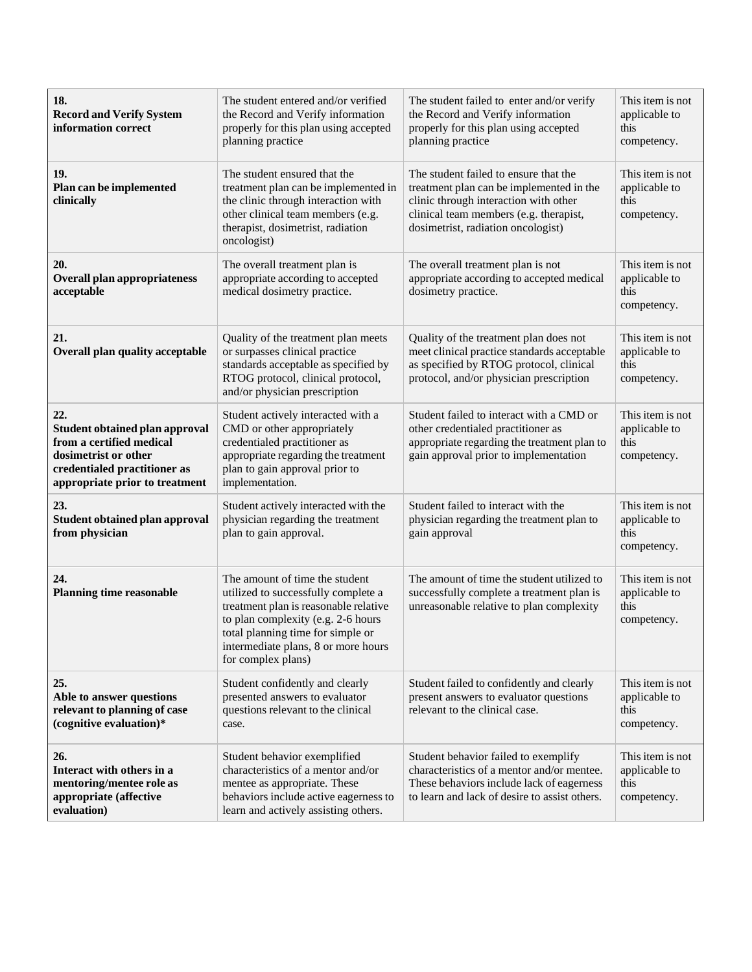| 18.<br><b>Record and Verify System</b><br>information correct                                                                                                      | The student entered and/or verified<br>the Record and Verify information<br>properly for this plan using accepted<br>planning practice                                                                                                                 | The student failed to enter and/or verify<br>the Record and Verify information<br>properly for this plan using accepted<br>planning practice                                                               | This item is not<br>applicable to<br>this<br>competency. |
|--------------------------------------------------------------------------------------------------------------------------------------------------------------------|--------------------------------------------------------------------------------------------------------------------------------------------------------------------------------------------------------------------------------------------------------|------------------------------------------------------------------------------------------------------------------------------------------------------------------------------------------------------------|----------------------------------------------------------|
| 19.<br>Plan can be implemented<br>clinically                                                                                                                       | The student ensured that the<br>treatment plan can be implemented in<br>the clinic through interaction with<br>other clinical team members (e.g.<br>therapist, dosimetrist, radiation<br>oncologist)                                                   | The student failed to ensure that the<br>treatment plan can be implemented in the<br>clinic through interaction with other<br>clinical team members (e.g. therapist,<br>dosimetrist, radiation oncologist) | This item is not<br>applicable to<br>this<br>competency. |
| 20.<br><b>Overall plan appropriateness</b><br>acceptable                                                                                                           | The overall treatment plan is<br>appropriate according to accepted<br>medical dosimetry practice.                                                                                                                                                      | The overall treatment plan is not<br>appropriate according to accepted medical<br>dosimetry practice.                                                                                                      | This item is not<br>applicable to<br>this<br>competency. |
| 21.<br><b>Overall plan quality acceptable</b>                                                                                                                      | Quality of the treatment plan meets<br>or surpasses clinical practice<br>standards acceptable as specified by<br>RTOG protocol, clinical protocol,<br>and/or physician prescription                                                                    | Quality of the treatment plan does not<br>meet clinical practice standards acceptable<br>as specified by RTOG protocol, clinical<br>protocol, and/or physician prescription                                | This item is not<br>applicable to<br>this<br>competency. |
| 22.<br><b>Student obtained plan approval</b><br>from a certified medical<br>dosimetrist or other<br>credentialed practitioner as<br>appropriate prior to treatment | Student actively interacted with a<br>CMD or other appropriately<br>credentialed practitioner as<br>appropriate regarding the treatment<br>plan to gain approval prior to<br>implementation.                                                           | Student failed to interact with a CMD or<br>other credentialed practitioner as<br>appropriate regarding the treatment plan to<br>gain approval prior to implementation                                     | This item is not<br>applicable to<br>this<br>competency. |
| 23.<br><b>Student obtained plan approval</b><br>from physician                                                                                                     | Student actively interacted with the<br>physician regarding the treatment<br>plan to gain approval.                                                                                                                                                    | Student failed to interact with the<br>physician regarding the treatment plan to<br>gain approval                                                                                                          | This item is not<br>applicable to<br>this<br>competency. |
| 24.<br><b>Planning time reasonable</b>                                                                                                                             | The amount of time the student<br>utilized to successfully complete a<br>treatment plan is reasonable relative<br>to plan complexity (e.g. 2-6 hours<br>total planning time for simple or<br>intermediate plans, 8 or more hours<br>for complex plans) | The amount of time the student utilized to<br>successfully complete a treatment plan is<br>unreasonable relative to plan complexity                                                                        | This item is not<br>applicable to<br>this<br>competency. |
| 25.<br>Able to answer questions<br>relevant to planning of case<br>(cognitive evaluation)*                                                                         | Student confidently and clearly<br>presented answers to evaluator<br>questions relevant to the clinical<br>case.                                                                                                                                       | Student failed to confidently and clearly<br>present answers to evaluator questions<br>relevant to the clinical case.                                                                                      | This item is not<br>applicable to<br>this<br>competency. |
| 26.<br>Interact with others in a<br>mentoring/mentee role as<br>appropriate (affective<br>evaluation)                                                              | Student behavior exemplified<br>characteristics of a mentor and/or<br>mentee as appropriate. These<br>behaviors include active eagerness to<br>learn and actively assisting others.                                                                    | Student behavior failed to exemplify<br>characteristics of a mentor and/or mentee.<br>These behaviors include lack of eagerness<br>to learn and lack of desire to assist others.                           | This item is not<br>applicable to<br>this<br>competency. |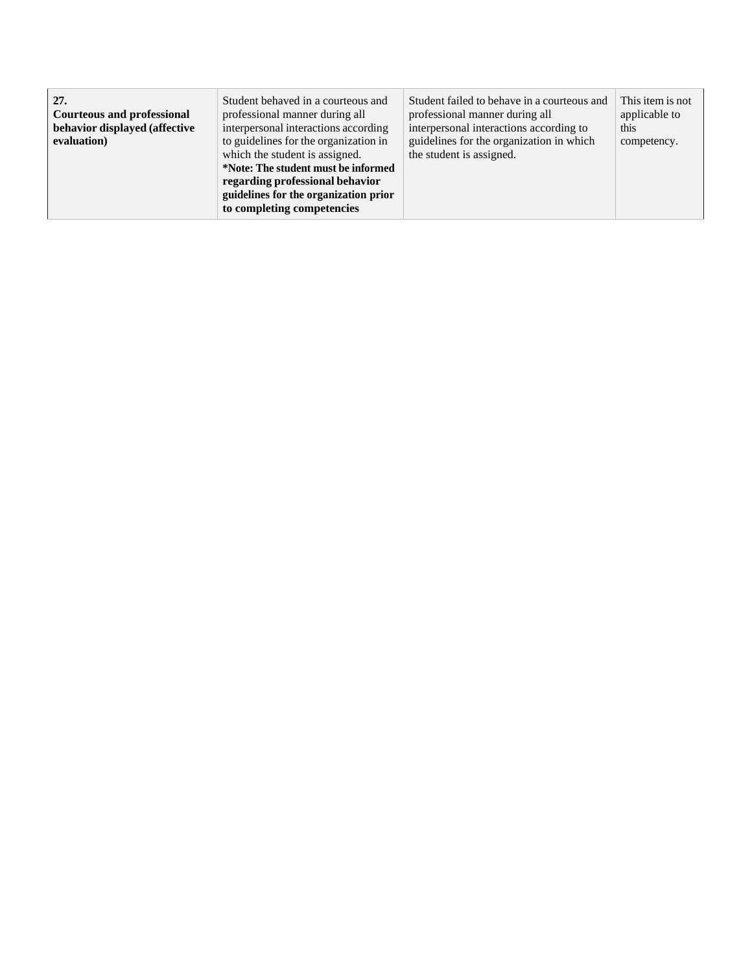| 27.<br><b>Courteous and professional</b><br>behavior displayed (affective<br>evaluation) | Student behaved in a courteous and<br>professional manner during all<br>interpersonal interactions according<br>to guidelines for the organization in<br>which the student is assigned.<br>*Note: The student must be informed<br>regarding professional behavior<br>guidelines for the organization prior<br>to completing competencies | Student failed to behave in a courteous and<br>professional manner during all<br>interpersonal interactions according to<br>guidelines for the organization in which<br>the student is assigned. | This item is not<br>applicable to<br>this<br>competency. |
|------------------------------------------------------------------------------------------|------------------------------------------------------------------------------------------------------------------------------------------------------------------------------------------------------------------------------------------------------------------------------------------------------------------------------------------|--------------------------------------------------------------------------------------------------------------------------------------------------------------------------------------------------|----------------------------------------------------------|
|------------------------------------------------------------------------------------------|------------------------------------------------------------------------------------------------------------------------------------------------------------------------------------------------------------------------------------------------------------------------------------------------------------------------------------------|--------------------------------------------------------------------------------------------------------------------------------------------------------------------------------------------------|----------------------------------------------------------|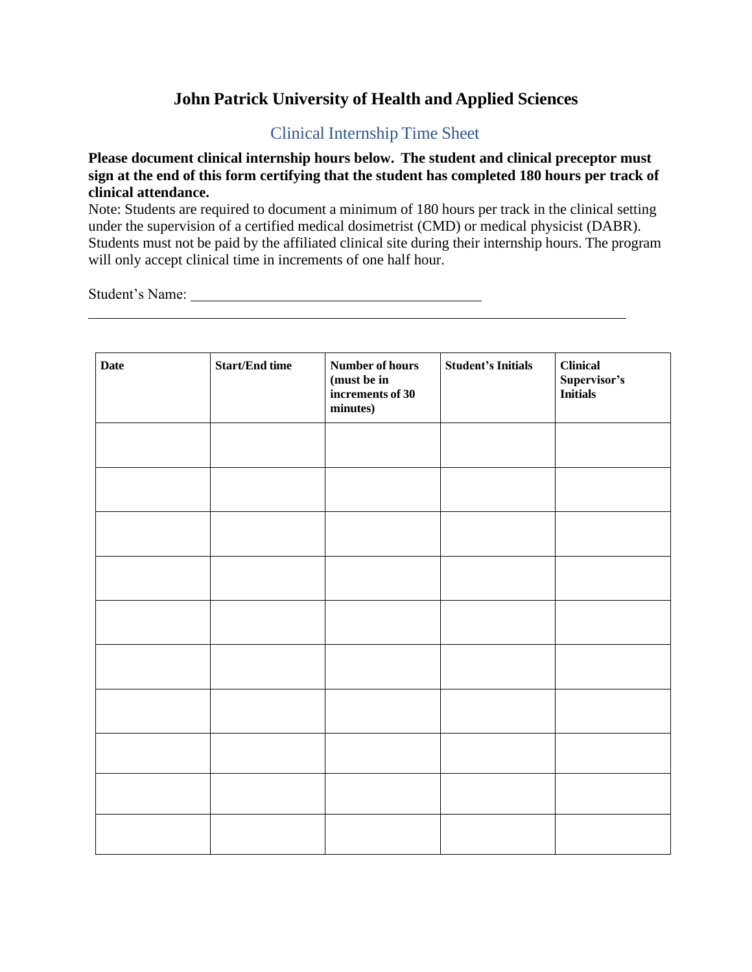# **John Patrick University of Health and Applied Sciences**

## Clinical Internship Time Sheet

<span id="page-22-0"></span>**Please document clinical internship hours below. The student and clinical preceptor must sign at the end of this form certifying that the student has completed 180 hours per track of clinical attendance.**

Note: Students are required to document a minimum of 180 hours per track in the clinical setting under the supervision of a certified medical dosimetrist (CMD) or medical physicist (DABR). Students must not be paid by the affiliated clinical site during their internship hours. The program will only accept clinical time in increments of one half hour.

Student's Name:

| <b>Date</b> | <b>Start/End time</b> | Number of hours<br>(must be in<br>increments of 30<br>minutes) | <b>Student's Initials</b> | <b>Clinical</b><br>Supervisor's<br><b>Initials</b> |
|-------------|-----------------------|----------------------------------------------------------------|---------------------------|----------------------------------------------------|
|             |                       |                                                                |                           |                                                    |
|             |                       |                                                                |                           |                                                    |
|             |                       |                                                                |                           |                                                    |
|             |                       |                                                                |                           |                                                    |
|             |                       |                                                                |                           |                                                    |
|             |                       |                                                                |                           |                                                    |
|             |                       |                                                                |                           |                                                    |
|             |                       |                                                                |                           |                                                    |
|             |                       |                                                                |                           |                                                    |
|             |                       |                                                                |                           |                                                    |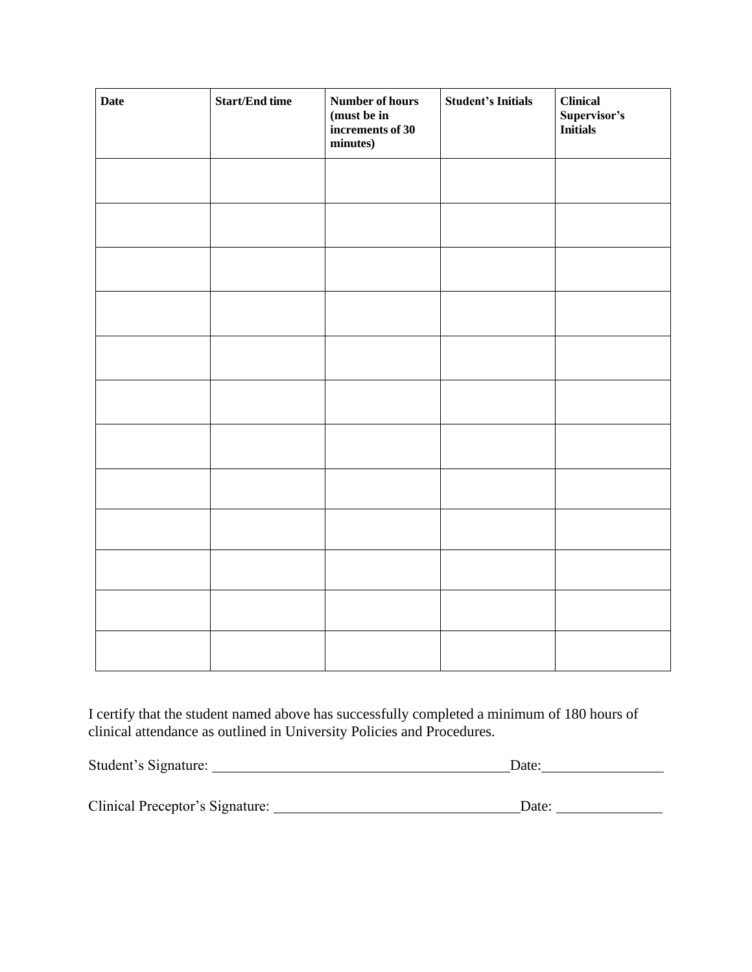| <b>Date</b> | <b>Start/End time</b> | Number of hours<br>(must be in<br>increments of 30<br>minutes) | <b>Student's Initials</b> | <b>Clinical</b><br>Supervisor's<br>Initials |
|-------------|-----------------------|----------------------------------------------------------------|---------------------------|---------------------------------------------|
|             |                       |                                                                |                           |                                             |
|             |                       |                                                                |                           |                                             |
|             |                       |                                                                |                           |                                             |
|             |                       |                                                                |                           |                                             |
|             |                       |                                                                |                           |                                             |
|             |                       |                                                                |                           |                                             |
|             |                       |                                                                |                           |                                             |
|             |                       |                                                                |                           |                                             |
|             |                       |                                                                |                           |                                             |
|             |                       |                                                                |                           |                                             |
|             |                       |                                                                |                           |                                             |
|             |                       |                                                                |                           |                                             |

I certify that the student named above has successfully completed a minimum of 180 hours of clinical attendance as outlined in University Policies and Procedures.

| Student's Signature:            | Date: |
|---------------------------------|-------|
|                                 |       |
| Clinical Preceptor's Signature: | Date: |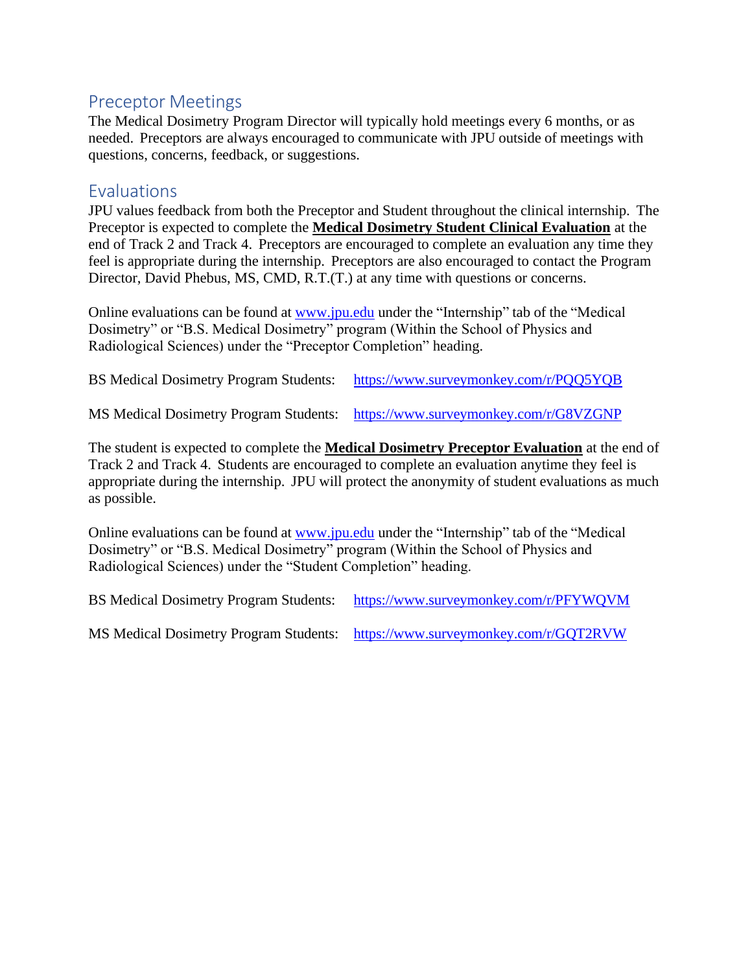# <span id="page-24-0"></span>Preceptor Meetings

The Medical Dosimetry Program Director will typically hold meetings every 6 months, or as needed. Preceptors are always encouraged to communicate with JPU outside of meetings with questions, concerns, feedback, or suggestions.

## <span id="page-24-1"></span>**Evaluations**

JPU values feedback from both the Preceptor and Student throughout the clinical internship. The Preceptor is expected to complete the **Medical Dosimetry Student Clinical Evaluation** at the end of Track 2 and Track 4. Preceptors are encouraged to complete an evaluation any time they feel is appropriate during the internship. Preceptors are also encouraged to contact the Program Director, David Phebus, MS, CMD, R.T.(T.) at any time with questions or concerns.

Online evaluations can be found at [www.jpu.edu](http://www.jpu.edu/) under the "Internship" tab of the "Medical Dosimetry" or "B.S. Medical Dosimetry" program (Within the School of Physics and Radiological Sciences) under the "Preceptor Completion" heading.

BS Medical Dosimetry Program Students: <https://www.surveymonkey.com/r/PQQ5YQB>

MS Medical Dosimetry Program Students: <https://www.surveymonkey.com/r/G8VZGNP>

The student is expected to complete the **Medical Dosimetry Preceptor Evaluation** at the end of Track 2 and Track 4. Students are encouraged to complete an evaluation anytime they feel is appropriate during the internship. JPU will protect the anonymity of student evaluations as much as possible.

Online evaluations can be found at [www.jpu.edu](http://www.jpu.edu/) under the "Internship" tab of the "Medical Dosimetry" or "B.S. Medical Dosimetry" program (Within the School of Physics and Radiological Sciences) under the "Student Completion" heading.

BS Medical Dosimetry Program Students: <https://www.surveymonkey.com/r/PFYWQVM>

MS Medical Dosimetry Program Students: <https://www.surveymonkey.com/r/GQT2RVW>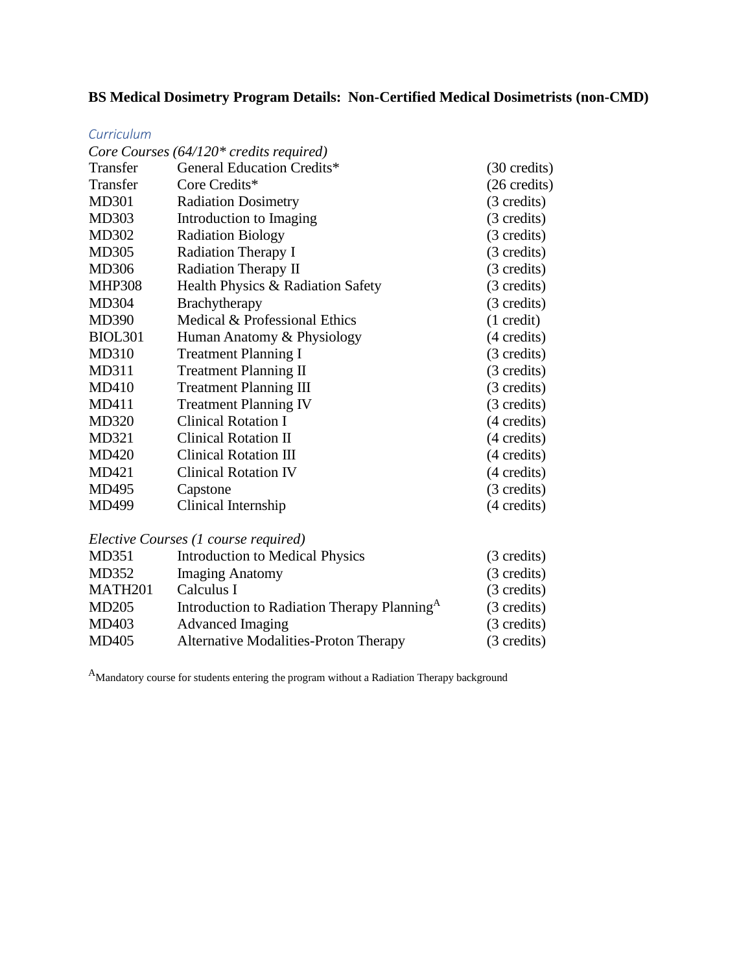## **BS Medical Dosimetry Program Details: Non-Certified Medical Dosimetrists (non-CMD)**

#### *Curriculum*

|                 | Core Courses $(64/120)$ * credits required)             |                        |
|-----------------|---------------------------------------------------------|------------------------|
| <b>Transfer</b> | <b>General Education Credits*</b>                       | $(30 \text{ credits})$ |
| Transfer        | Core Credits*                                           | (26 credits)           |
| <b>MD301</b>    | <b>Radiation Dosimetry</b>                              | (3 credits)            |
| <b>MD303</b>    | Introduction to Imaging                                 | (3 credits)            |
| MD302           | <b>Radiation Biology</b>                                | (3 credits)            |
| <b>MD305</b>    | Radiation Therapy I                                     | (3 credits)            |
| MD306           | Radiation Therapy II                                    | (3 credits)            |
| <b>MHP308</b>   | Health Physics & Radiation Safety                       | (3 credits)            |
| MD304           | Brachytherapy                                           | (3 credits)            |
| <b>MD390</b>    | Medical & Professional Ethics                           | $(1 \text{ credit})$   |
| <b>BIOL301</b>  | Human Anatomy & Physiology                              | (4 credits)            |
| <b>MD310</b>    | <b>Treatment Planning I</b>                             | (3 credits)            |
| MD311           | <b>Treatment Planning II</b>                            | (3 credits)            |
| MD410           | <b>Treatment Planning III</b>                           | (3 credits)            |
| <b>MD411</b>    | <b>Treatment Planning IV</b>                            | (3 credits)            |
| <b>MD320</b>    | <b>Clinical Rotation I</b>                              | (4 credits)            |
| MD321           | <b>Clinical Rotation II</b>                             | (4 credits)            |
| <b>MD420</b>    | <b>Clinical Rotation III</b>                            | (4 credits)            |
| MD421           | <b>Clinical Rotation IV</b>                             | (4 credits)            |
| MD495           | Capstone                                                | (3 credits)            |
| MD499           | Clinical Internship                                     | (4 credits)            |
|                 | Elective Courses (1 course required)                    |                        |
| MD351           | <b>Introduction to Medical Physics</b>                  | (3 credits)            |
| MD352           | <b>Imaging Anatomy</b>                                  | (3 credits)            |
| MATH201         | Calculus I                                              | (3 credits)            |
| MD205           | Introduction to Radiation Therapy Planning <sup>A</sup> | (3 credits)            |
| MD403           | <b>Advanced Imaging</b>                                 | (3 credits)            |
| <b>MD405</b>    | <b>Alternative Modalities-Proton Therapy</b>            | (3 credits)            |

<sup>A</sup>Mandatory course for students entering the program without a Radiation Therapy background